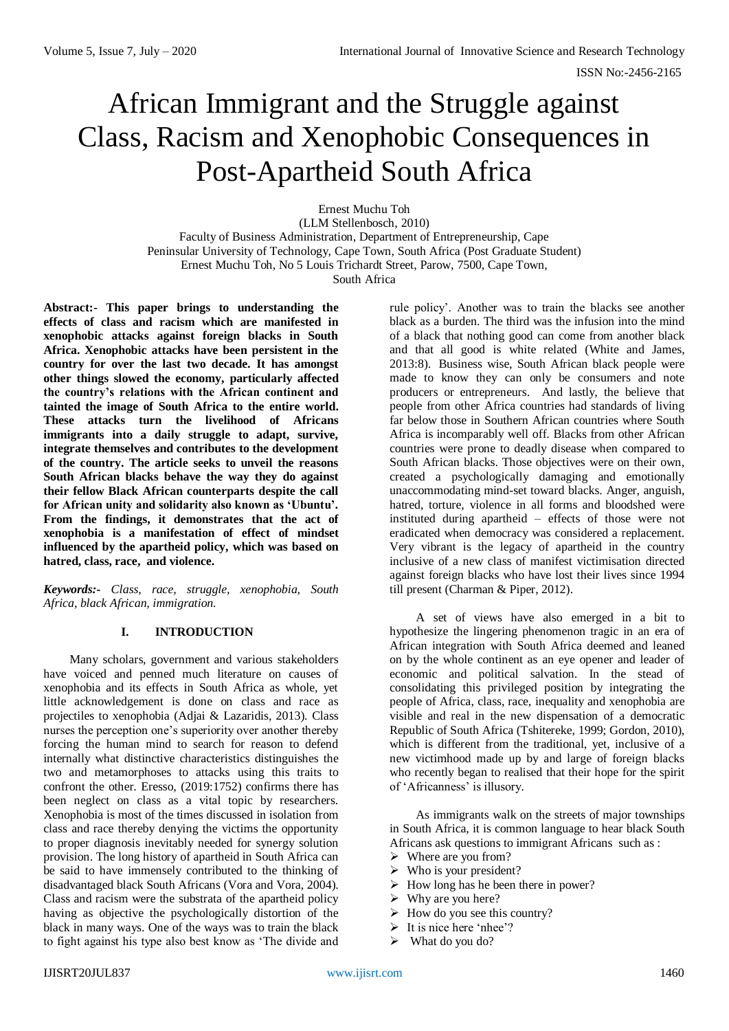# African Immigrant and the Struggle against Class, Racism and Xenophobic Consequences in Post-Apartheid South Africa

Ernest Muchu Toh (LLM Stellenbosch, 2010) Faculty of Business Administration, Department of Entrepreneurship, Cape Peninsular University of Technology, Cape Town, South Africa (Post Graduate Student) Ernest Muchu Toh, No 5 Louis Trichardt Street, Parow, 7500, Cape Town, South Africa

**Abstract:- This paper brings to understanding the effects of class and racism which are manifested in xenophobic attacks against foreign blacks in South Africa. Xenophobic attacks have been persistent in the country for over the last two decade. It has amongst other things slowed the economy, particularly affected the country's relations with the African continent and tainted the image of South Africa to the entire world. These attacks turn the livelihood of Africans immigrants into a daily struggle to adapt, survive, integrate themselves and contributes to the development of the country. The article seeks to unveil the reasons South African blacks behave the way they do against their fellow Black African counterparts despite the call for African unity and solidarity also known as 'Ubuntu'. From the findings, it demonstrates that the act of xenophobia is a manifestation of effect of mindset influenced by the apartheid policy, which was based on hatred, class, race, and violence.** 

*Keywords:- Class, race, struggle, xenophobia, South Africa, black African, immigration.*

## **I. INTRODUCTION**

Many scholars, government and various stakeholders have voiced and penned much literature on causes of xenophobia and its effects in South Africa as whole, yet little acknowledgement is done on class and race as projectiles to xenophobia (Adjai & Lazaridis, 2013). Class nurses the perception one's superiority over another thereby forcing the human mind to search for reason to defend internally what distinctive characteristics distinguishes the two and metamorphoses to attacks using this traits to confront the other. Eresso, (2019:1752) confirms there has been neglect on class as a vital topic by researchers. Xenophobia is most of the times discussed in isolation from class and race thereby denying the victims the opportunity to proper diagnosis inevitably needed for synergy solution provision. The long history of apartheid in South Africa can be said to have immensely contributed to the thinking of disadvantaged black South Africans (Vora and Vora, 2004). Class and racism were the substrata of the apartheid policy having as objective the psychologically distortion of the black in many ways. One of the ways was to train the black to fight against his type also best know as 'The divide and rule policy'. Another was to train the blacks see another black as a burden. The third was the infusion into the mind of a black that nothing good can come from another black and that all good is white related (White and James, 2013:8). Business wise, South African black people were made to know they can only be consumers and note producers or entrepreneurs. And lastly, the believe that people from other Africa countries had standards of living far below those in Southern African countries where South Africa is incomparably well off. Blacks from other African countries were prone to deadly disease when compared to South African blacks. Those objectives were on their own, created a psychologically damaging and emotionally unaccommodating mind-set toward blacks. Anger, anguish, hatred, torture, violence in all forms and bloodshed were instituted during apartheid – effects of those were not eradicated when democracy was considered a replacement. Very vibrant is the legacy of apartheid in the country inclusive of a new class of manifest victimisation directed against foreign blacks who have lost their lives since 1994 till present (Charman & Piper, 2012).

A set of views have also emerged in a bit to hypothesize the lingering phenomenon tragic in an era of African integration with South Africa deemed and leaned on by the whole continent as an eye opener and leader of economic and political salvation. In the stead of consolidating this privileged position by integrating the people of Africa, class, race, inequality and xenophobia are visible and real in the new dispensation of a democratic Republic of South Africa (Tshitereke, 1999; Gordon, 2010), which is different from the traditional, yet, inclusive of a new victimhood made up by and large of foreign blacks who recently began to realised that their hope for the spirit of 'Africanness' is illusory.

As immigrants walk on the streets of major townships in South Africa, it is common language to hear black South Africans ask questions to immigrant Africans such as :

- $\triangleright$  Where are you from?
- $\triangleright$  Who is your president?
- $\triangleright$  How long has he been there in power?
- $\triangleright$  Why are you here?
- $\triangleright$  How do you see this country?
- $\triangleright$  It is nice here 'nhee'?
- $\triangleright$  What do you do?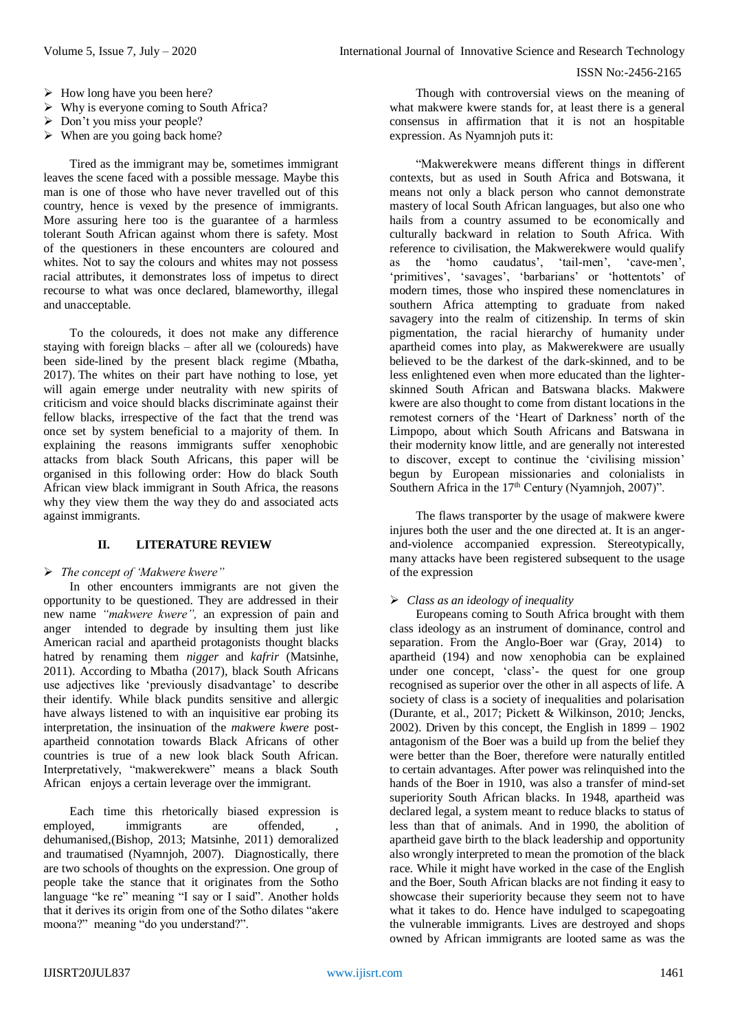- $\triangleright$  How long have you been here?
- $\triangleright$  Why is everyone coming to South Africa?
- $\triangleright$  Don't you miss your people?
- $\triangleright$  When are you going back home?

Tired as the immigrant may be, sometimes immigrant leaves the scene faced with a possible message. Maybe this man is one of those who have never travelled out of this country, hence is vexed by the presence of immigrants. More assuring here too is the guarantee of a harmless tolerant South African against whom there is safety. Most of the questioners in these encounters are coloured and whites. Not to say the colours and whites may not possess racial attributes, it demonstrates loss of impetus to direct recourse to what was once declared, blameworthy, illegal and unacceptable.

To the coloureds, it does not make any difference staying with foreign blacks – after all we (coloureds) have been side-lined by the present black regime (Mbatha, 2017). The whites on their part have nothing to lose, yet will again emerge under neutrality with new spirits of criticism and voice should blacks discriminate against their fellow blacks, irrespective of the fact that the trend was once set by system beneficial to a majority of them. In explaining the reasons immigrants suffer xenophobic attacks from black South Africans, this paper will be organised in this following order: How do black South African view black immigrant in South Africa, the reasons why they view them the way they do and associated acts against immigrants.

## **II. LITERATURE REVIEW**

#### *The concept of 'Makwere kwere"*

In other encounters immigrants are not given the opportunity to be questioned. They are addressed in their new name *"makwere kwere",* an expression of pain and anger intended to degrade by insulting them just like American racial and apartheid protagonists thought blacks hatred by renaming them *nigger* and *kafrir* (Matsinhe, 2011). According to Mbatha (2017), black South Africans use adjectives like 'previously disadvantage' to describe their identify. While black pundits sensitive and allergic have always listened to with an inquisitive ear probing its interpretation, the insinuation of the *makwere kwere* postapartheid connotation towards Black Africans of other countries is true of a new look black South African. Interpretatively, "makwerekwere" means a black South African enjoys a certain leverage over the immigrant.

Each time this rhetorically biased expression is employed, immigrants are offended, dehumanised,(Bishop, 2013; Matsinhe, 2011) demoralized and traumatised (Nyamnjoh, 2007). Diagnostically, there are two schools of thoughts on the expression. One group of people take the stance that it originates from the Sotho language "ke re" meaning "I say or I said". Another holds that it derives its origin from one of the Sotho dilates "akere moona?" meaning "do you understand?".

Though with controversial views on the meaning of what makwere kwere stands for, at least there is a general consensus in affirmation that it is not an hospitable expression. As Nyamnjoh puts it:

"Makwerekwere means different things in different contexts, but as used in South Africa and Botswana, it means not only a black person who cannot demonstrate mastery of local South African languages, but also one who hails from a country assumed to be economically and culturally backward in relation to South Africa. With reference to civilisation, the Makwerekwere would qualify as the 'homo caudatus', 'tail-men', 'cave-men', 'primitives', 'savages', 'barbarians' or 'hottentots' of modern times, those who inspired these nomenclatures in southern Africa attempting to graduate from naked savagery into the realm of citizenship. In terms of skin pigmentation, the racial hierarchy of humanity under apartheid comes into play, as Makwerekwere are usually believed to be the darkest of the dark-skinned, and to be less enlightened even when more educated than the lighterskinned South African and Batswana blacks. Makwere kwere are also thought to come from distant locations in the remotest corners of the 'Heart of Darkness' north of the Limpopo, about which South Africans and Batswana in their modernity know little, and are generally not interested to discover, except to continue the 'civilising mission' begun by European missionaries and colonialists in Southern Africa in the  $17<sup>th</sup>$  Century (Nyamnjoh, 2007)".

The flaws transporter by the usage of makwere kwere injures both the user and the one directed at. It is an angerand-violence accompanied expression. Stereotypically, many attacks have been registered subsequent to the usage of the expression

## *Class as an ideology of inequality*

Europeans coming to South Africa brought with them class ideology as an instrument of dominance, control and separation. From the Anglo-Boer war (Gray, 2014) to apartheid (194) and now xenophobia can be explained under one concept, 'class'- the quest for one group recognised as superior over the other in all aspects of life. A society of class is a society of inequalities and polarisation (Durante, et al., 2017; Pickett & Wilkinson, 2010; Jencks, 2002). Driven by this concept, the English in 1899 – 1902 antagonism of the Boer was a build up from the belief they were better than the Boer, therefore were naturally entitled to certain advantages. After power was relinquished into the hands of the Boer in 1910, was also a transfer of mind-set superiority South African blacks. In 1948, apartheid was declared legal, a system meant to reduce blacks to status of less than that of animals. And in 1990, the abolition of apartheid gave birth to the black leadership and opportunity also wrongly interpreted to mean the promotion of the black race. While it might have worked in the case of the English and the Boer, South African blacks are not finding it easy to showcase their superiority because they seem not to have what it takes to do. Hence have indulged to scapegoating the vulnerable immigrants. Lives are destroyed and shops owned by African immigrants are looted same as was the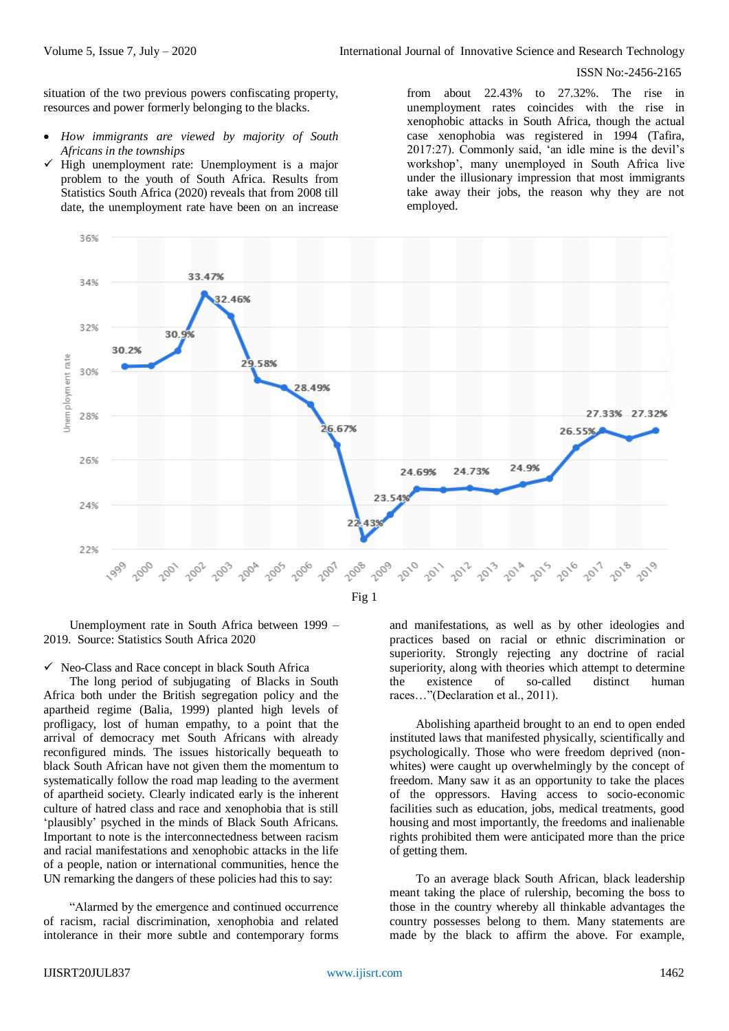situation of the two previous powers confiscating property, resources and power formerly belonging to the blacks.

- *How immigrants are viewed by majority of South Africans in the townships*
- High unemployment rate: Unemployment is a major problem to the youth of South Africa. Results from Statistics South Africa (2020) reveals that from 2008 till date, the unemployment rate have been on an increase

from about 22.43% to 27.32%. The rise in unemployment rates coincides with the rise in xenophobic attacks in South Africa, though the actual case xenophobia was registered in 1994 (Tafira, 2017:27). Commonly said, 'an idle mine is the devil's workshop', many unemployed in South Africa live under the illusionary impression that most immigrants take away their jobs, the reason why they are not employed.



Unemployment rate in South Africa between 1999 – 2019. Source: Statistics South Africa 2020

 $\checkmark$  Neo-Class and Race concept in black South Africa

The long period of subjugating of Blacks in South Africa both under the British segregation policy and the apartheid regime (Balia, 1999) planted high levels of profligacy, lost of human empathy, to a point that the arrival of democracy met South Africans with already reconfigured minds. The issues historically bequeath to black South African have not given them the momentum to systematically follow the road map leading to the averment of apartheid society. Clearly indicated early is the inherent culture of hatred class and race and xenophobia that is still 'plausibly' psyched in the minds of Black South Africans. Important to note is the interconnectedness between racism and racial manifestations and xenophobic attacks in the life of a people, nation or international communities, hence the UN remarking the dangers of these policies had this to say:

"Alarmed by the emergence and continued occurrence of racism, racial discrimination, xenophobia and related intolerance in their more subtle and contemporary forms and manifestations, as well as by other ideologies and practices based on racial or ethnic discrimination or superiority. Strongly rejecting any doctrine of racial superiority, along with theories which attempt to determine the existence of so-called distinct human races…"(Declaration et al., 2011).

Abolishing apartheid brought to an end to open ended instituted laws that manifested physically, scientifically and psychologically. Those who were freedom deprived (nonwhites) were caught up overwhelmingly by the concept of freedom. Many saw it as an opportunity to take the places of the oppressors. Having access to socio-economic facilities such as education, jobs, medical treatments, good housing and most importantly, the freedoms and inalienable rights prohibited them were anticipated more than the price of getting them.

To an average black South African, black leadership meant taking the place of rulership, becoming the boss to those in the country whereby all thinkable advantages the country possesses belong to them. Many statements are made by the black to affirm the above. For example,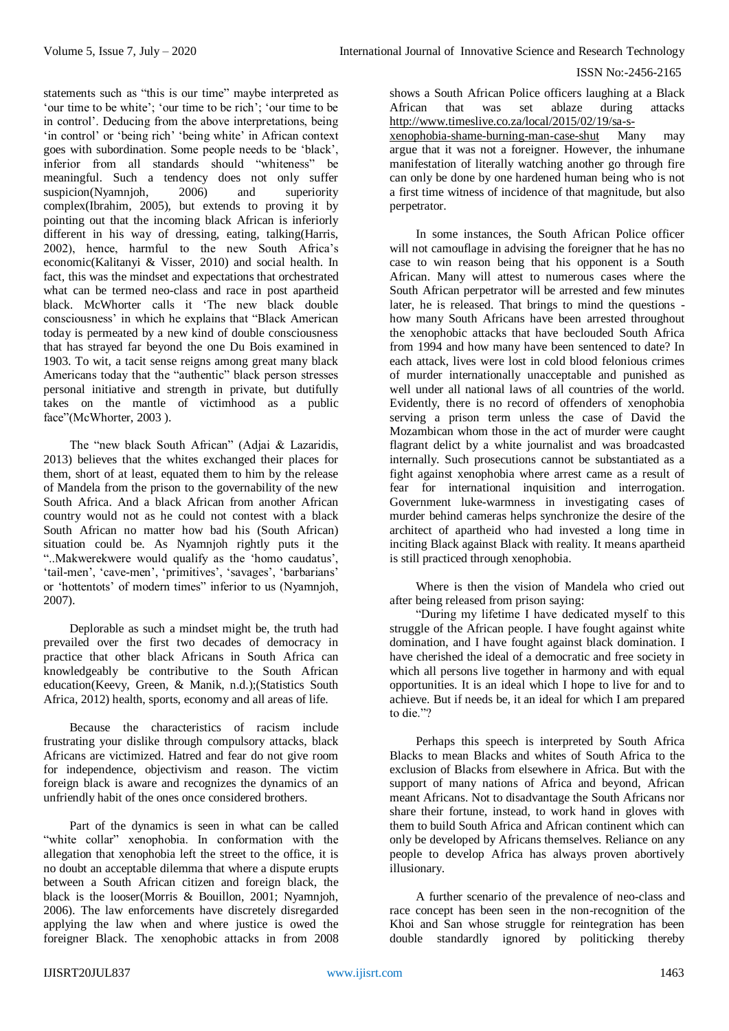statements such as "this is our time" maybe interpreted as 'our time to be white'; 'our time to be rich'; 'our time to be in control'. Deducing from the above interpretations, being 'in control' or 'being rich' 'being white' in African context goes with subordination. Some people needs to be 'black', inferior from all standards should "whiteness" be meaningful. Such a tendency does not only suffer suspicion(Nyamnjoh, 2006) and superiority complex(Ibrahim, 2005), but extends to proving it by pointing out that the incoming black African is inferiorly different in his way of dressing, eating, talking(Harris, 2002), hence, harmful to the new South Africa's economic(Kalitanyi & Visser, 2010) and social health. In fact, this was the mindset and expectations that orchestrated what can be termed neo-class and race in post apartheid black. McWhorter calls it 'The new black double consciousness' in which he explains that "Black American today is permeated by a new kind of double consciousness that has strayed far beyond the one Du Bois examined in 1903. To wit, a tacit sense reigns among great many black Americans today that the "authentic" black person stresses personal initiative and strength in private, but dutifully takes on the mantle of victimhood as a public face"(McWhorter, 2003).

The "new black South African" (Adjai & Lazaridis, 2013) believes that the whites exchanged their places for them, short of at least, equated them to him by the release of Mandela from the prison to the governability of the new South Africa. And a black African from another African country would not as he could not contest with a black South African no matter how bad his (South African) situation could be. As Nyamnjoh rightly puts it the "..Makwerekwere would qualify as the 'homo caudatus', 'tail-men', 'cave-men', 'primitives', 'savages', 'barbarians' or 'hottentots' of modern times" inferior to us (Nyamnjoh, 2007).

Deplorable as such a mindset might be, the truth had prevailed over the first two decades of democracy in practice that other black Africans in South Africa can knowledgeably be contributive to the South African education(Keevy, Green, & Manik, n.d.);(Statistics South Africa, 2012) health, sports, economy and all areas of life.

Because the characteristics of racism include frustrating your dislike through compulsory attacks, black Africans are victimized. Hatred and fear do not give room for independence, objectivism and reason. The victim foreign black is aware and recognizes the dynamics of an unfriendly habit of the ones once considered brothers.

Part of the dynamics is seen in what can be called "white collar" xenophobia. In conformation with the allegation that xenophobia left the street to the office, it is no doubt an acceptable dilemma that where a dispute erupts between a South African citizen and foreign black, the black is the looser(Morris & Bouillon, 2001; Nyamnjoh, 2006). The law enforcements have discretely disregarded applying the law when and where justice is owed the foreigner Black. The xenophobic attacks in from 2008

shows a South African Police officers laughing at a Black African that was set ablaze during attacks [http://www.timeslive.co.za/local/2015/02/19/sa-s](http://www.timeslive.co.za/local/2015/02/19/sa-s-xenophobia-shame-burning-man-case-shut)[xenophobia-shame-burning-man-case-shut](http://www.timeslive.co.za/local/2015/02/19/sa-s-xenophobia-shame-burning-man-case-shut) Many may argue that it was not a foreigner. However, the inhumane manifestation of literally watching another go through fire can only be done by one hardened human being who is not a first time witness of incidence of that magnitude, but also perpetrator.

In some instances, the South African Police officer will not camouflage in advising the foreigner that he has no case to win reason being that his opponent is a South African. Many will attest to numerous cases where the South African perpetrator will be arrested and few minutes later, he is released. That brings to mind the questions how many South Africans have been arrested throughout the xenophobic attacks that have beclouded South Africa from 1994 and how many have been sentenced to date? In each attack, lives were lost in cold blood felonious crimes of murder internationally unacceptable and punished as well under all national laws of all countries of the world. Evidently, there is no record of offenders of xenophobia serving a prison term unless the case of David the Mozambican whom those in the act of murder were caught flagrant delict by a white journalist and was broadcasted internally. Such prosecutions cannot be substantiated as a fight against xenophobia where arrest came as a result of fear for international inquisition and interrogation. Government luke-warmness in investigating cases of murder behind cameras helps synchronize the desire of the architect of apartheid who had invested a long time in inciting Black against Black with reality. It means apartheid is still practiced through xenophobia.

Where is then the vision of Mandela who cried out after being released from prison saying:

"During my lifetime I have dedicated myself to this struggle of the African people. I have fought against white domination, and I have fought against black domination. I have cherished the ideal of a democratic and free society in which all persons live together in harmony and with equal opportunities. It is an ideal which I hope to live for and to achieve. But if needs be, it an ideal for which I am prepared to die."?

Perhaps this speech is interpreted by South Africa Blacks to mean Blacks and whites of South Africa to the exclusion of Blacks from elsewhere in Africa. But with the support of many nations of Africa and beyond, African meant Africans. Not to disadvantage the South Africans nor share their fortune, instead, to work hand in gloves with them to build South Africa and African continent which can only be developed by Africans themselves. Reliance on any people to develop Africa has always proven abortively illusionary.

A further scenario of the prevalence of neo-class and race concept has been seen in the non-recognition of the Khoi and San whose struggle for reintegration has been double standardly ignored by politicking thereby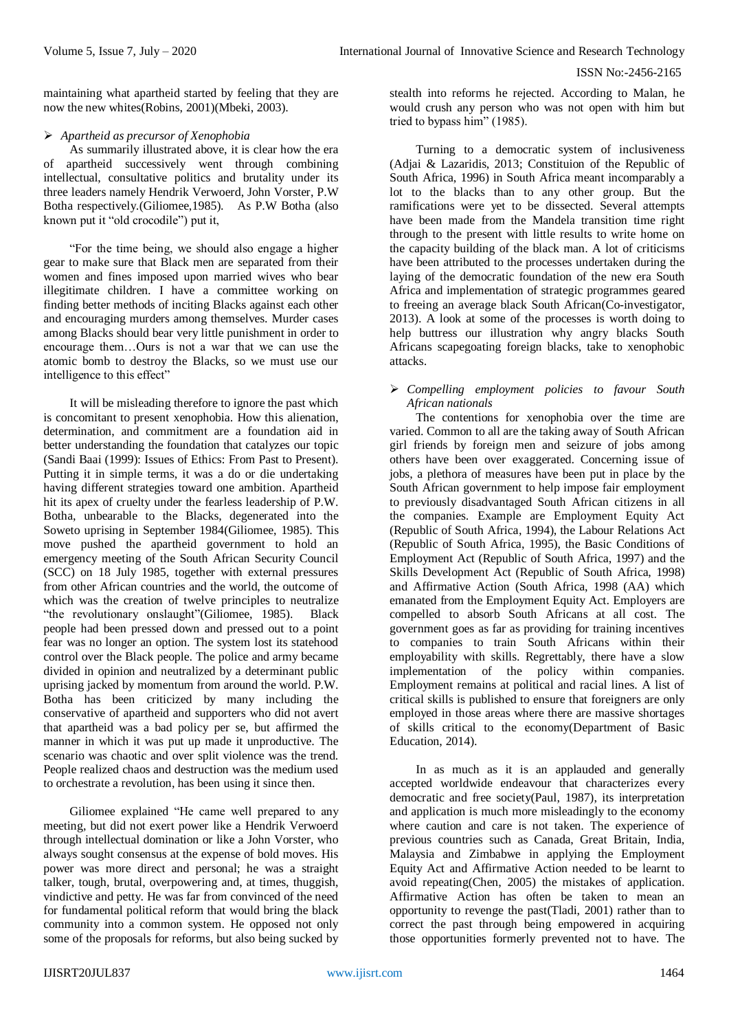maintaining what apartheid started by feeling that they are now the new whites(Robins, 2001)(Mbeki, 2003).

## *Apartheid as precursor of Xenophobia*

As summarily illustrated above, it is clear how the era of apartheid successively went through combining intellectual, consultative politics and brutality under its three leaders namely Hendrik Verwoerd, John Vorster, P.W Botha respectively.(Giliomee,1985). As P.W Botha (also known put it "old crocodile") put it,

"For the time being, we should also engage a higher gear to make sure that Black men are separated from their women and fines imposed upon married wives who bear illegitimate children. I have a committee working on finding better methods of inciting Blacks against each other and encouraging murders among themselves. Murder cases among Blacks should bear very little punishment in order to encourage them…Ours is not a war that we can use the atomic bomb to destroy the Blacks, so we must use our intelligence to this effect"

It will be misleading therefore to ignore the past which is concomitant to present xenophobia. How this alienation, determination, and commitment are a foundation aid in better understanding the foundation that catalyzes our topic (Sandi Baai (1999): Issues of Ethics: From Past to Present). Putting it in simple terms, it was a do or die undertaking having different strategies toward one ambition. Apartheid hit its apex of cruelty under the fearless leadership of P.W. Botha, unbearable to the Blacks, degenerated into the Soweto uprising in September 1984(Giliomee, 1985). This move pushed the apartheid government to hold an emergency meeting of the South African Security Council (SCC) on 18 July 1985, together with external pressures from other African countries and the world, the outcome of which was the creation of twelve principles to neutralize "the revolutionary onslaught"(Giliomee, 1985). Black people had been pressed down and pressed out to a point fear was no longer an option. The system lost its statehood control over the Black people. The police and army became divided in opinion and neutralized by a determinant public uprising jacked by momentum from around the world. P.W. Botha has been criticized by many including the conservative of apartheid and supporters who did not avert that apartheid was a bad policy per se, but affirmed the manner in which it was put up made it unproductive. The scenario was chaotic and over split violence was the trend. People realized chaos and destruction was the medium used to orchestrate a revolution, has been using it since then.

Giliomee explained "He came well prepared to any meeting, but did not exert power like a Hendrik Verwoerd through intellectual domination or like a John Vorster, who always sought consensus at the expense of bold moves. His power was more direct and personal; he was a straight talker, tough, brutal, overpowering and, at times, thuggish, vindictive and petty. He was far from convinced of the need for fundamental political reform that would bring the black community into a common system. He opposed not only some of the proposals for reforms, but also being sucked by stealth into reforms he rejected. According to Malan, he would crush any person who was not open with him but tried to bypass him" (1985).

Turning to a democratic system of inclusiveness (Adjai & Lazaridis, 2013; Constituion of the Republic of South Africa, 1996) in South Africa meant incomparably a lot to the blacks than to any other group. But the ramifications were yet to be dissected. Several attempts have been made from the Mandela transition time right through to the present with little results to write home on the capacity building of the black man. A lot of criticisms have been attributed to the processes undertaken during the laying of the democratic foundation of the new era South Africa and implementation of strategic programmes geared to freeing an average black South African(Co-investigator, 2013). A look at some of the processes is worth doing to help buttress our illustration why angry blacks South Africans scapegoating foreign blacks, take to xenophobic attacks.

## *Compelling employment policies to favour South African nationals*

The contentions for xenophobia over the time are varied. Common to all are the taking away of South African girl friends by foreign men and seizure of jobs among others have been over exaggerated. Concerning issue of jobs, a plethora of measures have been put in place by the South African government to help impose fair employment to previously disadvantaged South African citizens in all the companies. Example are Employment Equity Act (Republic of South Africa, 1994), the Labour Relations Act (Republic of South Africa, 1995), the Basic Conditions of Employment Act (Republic of South Africa, 1997) and the Skills Development Act (Republic of South Africa, 1998) and Affirmative Action (South Africa, 1998 (AA) which emanated from the Employment Equity Act. Employers are compelled to absorb South Africans at all cost. The government goes as far as providing for training incentives to companies to train South Africans within their employability with skills. Regrettably, there have a slow implementation of the policy within companies. Employment remains at political and racial lines. A list of critical skills is published to ensure that foreigners are only employed in those areas where there are massive shortages of skills critical to the economy(Department of Basic Education, 2014).

In as much as it is an applauded and generally accepted worldwide endeavour that characterizes every democratic and free society(Paul, 1987), its interpretation and application is much more misleadingly to the economy where caution and care is not taken. The experience of previous countries such as Canada, Great Britain, India, Malaysia and Zimbabwe in applying the Employment Equity Act and Affirmative Action needed to be learnt to avoid repeating(Chen, 2005) the mistakes of application. Affirmative Action has often be taken to mean an opportunity to revenge the past(Tladi, 2001) rather than to correct the past through being empowered in acquiring those opportunities formerly prevented not to have. The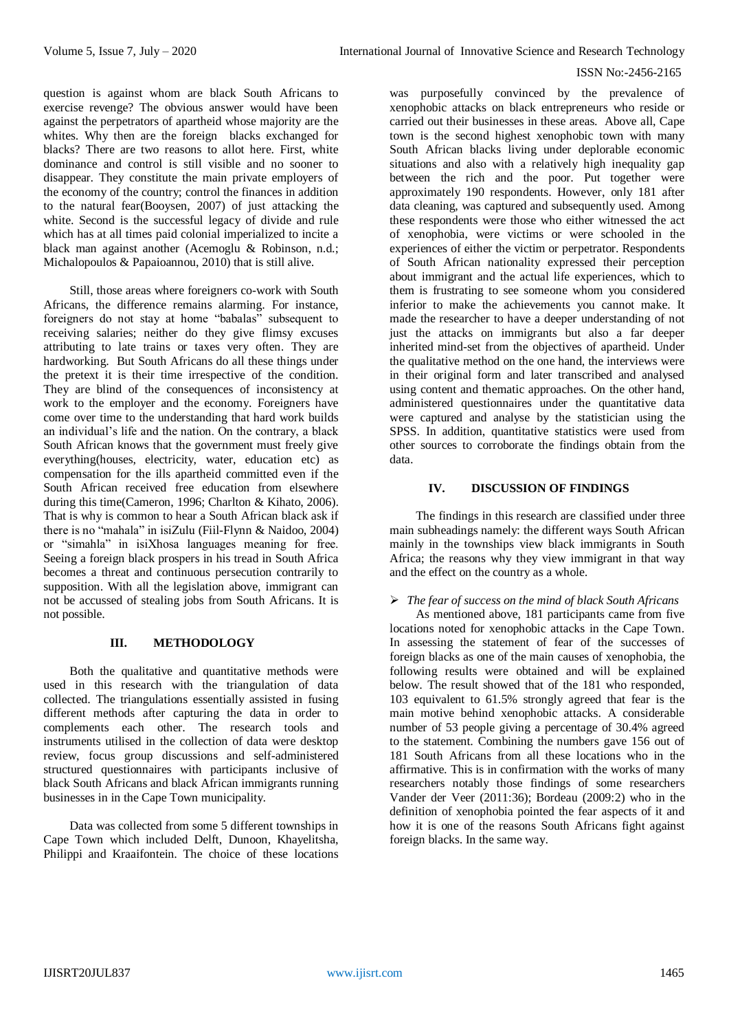question is against whom are black South Africans to exercise revenge? The obvious answer would have been against the perpetrators of apartheid whose majority are the whites. Why then are the foreign blacks exchanged for blacks? There are two reasons to allot here. First, white dominance and control is still visible and no sooner to disappear. They constitute the main private employers of the economy of the country; control the finances in addition to the natural fear(Booysen, 2007) of just attacking the white. Second is the successful legacy of divide and rule which has at all times paid colonial imperialized to incite a black man against another (Acemoglu & Robinson, n.d.; Michalopoulos & Papaioannou, 2010) that is still alive.

Still, those areas where foreigners co-work with South Africans, the difference remains alarming. For instance, foreigners do not stay at home "babalas" subsequent to receiving salaries; neither do they give flimsy excuses attributing to late trains or taxes very often. They are hardworking. But South Africans do all these things under the pretext it is their time irrespective of the condition. They are blind of the consequences of inconsistency at work to the employer and the economy. Foreigners have come over time to the understanding that hard work builds an individual's life and the nation. On the contrary, a black South African knows that the government must freely give everything(houses, electricity, water, education etc) as compensation for the ills apartheid committed even if the South African received free education from elsewhere during this time(Cameron, 1996; Charlton & Kihato, 2006). That is why is common to hear a South African black ask if there is no "mahala" in isiZulu (Fiil-Flynn & Naidoo, 2004) or "simahla" in isiXhosa languages meaning for free. Seeing a foreign black prospers in his tread in South Africa becomes a threat and continuous persecution contrarily to supposition. With all the legislation above, immigrant can not be accussed of stealing jobs from South Africans. It is not possible.

## **III. METHODOLOGY**

Both the qualitative and quantitative methods were used in this research with the triangulation of data collected. The triangulations essentially assisted in fusing different methods after capturing the data in order to complements each other. The research tools and instruments utilised in the collection of data were desktop review, focus group discussions and self-administered structured questionnaires with participants inclusive of black South Africans and black African immigrants running businesses in in the Cape Town municipality.

Data was collected from some 5 different townships in Cape Town which included Delft, Dunoon, Khayelitsha, Philippi and Kraaifontein. The choice of these locations was purposefully convinced by the prevalence of xenophobic attacks on black entrepreneurs who reside or carried out their businesses in these areas. Above all, Cape town is the second highest xenophobic town with many South African blacks living under deplorable economic situations and also with a relatively high inequality gap between the rich and the poor. Put together were approximately 190 respondents. However, only 181 after data cleaning, was captured and subsequently used. Among these respondents were those who either witnessed the act of xenophobia, were victims or were schooled in the experiences of either the victim or perpetrator. Respondents of South African nationality expressed their perception about immigrant and the actual life experiences, which to them is frustrating to see someone whom you considered inferior to make the achievements you cannot make. It made the researcher to have a deeper understanding of not just the attacks on immigrants but also a far deeper inherited mind-set from the objectives of apartheid. Under the qualitative method on the one hand, the interviews were in their original form and later transcribed and analysed using content and thematic approaches. On the other hand, administered questionnaires under the quantitative data were captured and analyse by the statistician using the SPSS. In addition, quantitative statistics were used from other sources to corroborate the findings obtain from the data.

## **IV. DISCUSSION OF FINDINGS**

The findings in this research are classified under three main subheadings namely: the different ways South African mainly in the townships view black immigrants in South Africa; the reasons why they view immigrant in that way and the effect on the country as a whole.

# *The fear of success on the mind of black South Africans*

As mentioned above, 181 participants came from five locations noted for xenophobic attacks in the Cape Town. In assessing the statement of fear of the successes of foreign blacks as one of the main causes of xenophobia, the following results were obtained and will be explained below. The result showed that of the 181 who responded, 103 equivalent to 61.5% strongly agreed that fear is the main motive behind xenophobic attacks. A considerable number of 53 people giving a percentage of 30.4% agreed to the statement. Combining the numbers gave 156 out of 181 South Africans from all these locations who in the affirmative. This is in confirmation with the works of many researchers notably those findings of some researchers Vander der Veer (2011:36); Bordeau (2009:2) who in the definition of xenophobia pointed the fear aspects of it and how it is one of the reasons South Africans fight against foreign blacks. In the same way.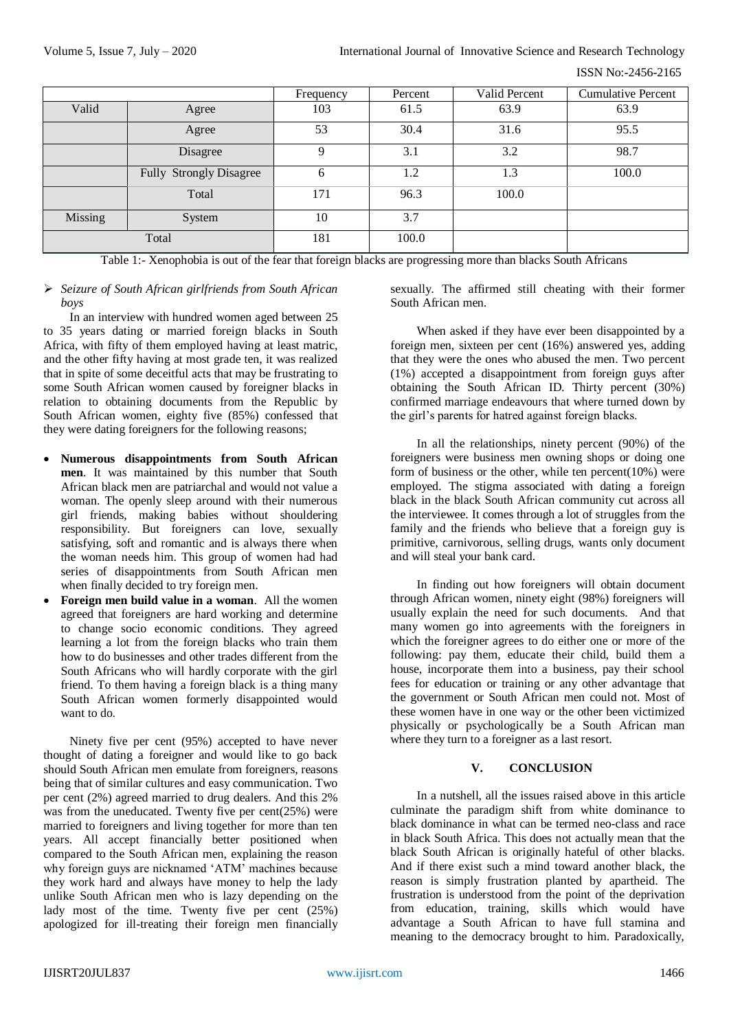ISSN No:-2456-2165

|         |                                | Frequency   | Percent | Valid Percent | <b>Cumulative Percent</b> |
|---------|--------------------------------|-------------|---------|---------------|---------------------------|
| Valid   | Agree                          | 103         | 61.5    | 63.9          | 63.9                      |
|         | Agree                          | 53          | 30.4    | 31.6          | 95.5                      |
|         | Disagree                       | $\mathbf Q$ | 3.1     | 3.2           | 98.7                      |
|         | <b>Fully Strongly Disagree</b> | 6           | 1.2     | 1.3           | 100.0                     |
|         | Total                          | 171         | 96.3    | 100.0         |                           |
| Missing | System                         | 10          | 3.7     |               |                           |
| Total   |                                | 181         | 100.0   |               |                           |

Table 1:- Xenophobia is out of the fear that foreign blacks are progressing more than blacks South Africans

 *Seizure of South African girlfriends from South African boys* 

In an interview with hundred women aged between 25 to 35 years dating or married foreign blacks in South Africa, with fifty of them employed having at least matric, and the other fifty having at most grade ten, it was realized that in spite of some deceitful acts that may be frustrating to some South African women caused by foreigner blacks in relation to obtaining documents from the Republic by South African women, eighty five (85%) confessed that they were dating foreigners for the following reasons;

- **Numerous disappointments from South African men**. It was maintained by this number that South African black men are patriarchal and would not value a woman. The openly sleep around with their numerous girl friends, making babies without shouldering responsibility. But foreigners can love, sexually satisfying, soft and romantic and is always there when the woman needs him. This group of women had had series of disappointments from South African men when finally decided to try foreign men.
- **Foreign men build value in a woman**. All the women agreed that foreigners are hard working and determine to change socio economic conditions. They agreed learning a lot from the foreign blacks who train them how to do businesses and other trades different from the South Africans who will hardly corporate with the girl friend. To them having a foreign black is a thing many South African women formerly disappointed would want to do.

Ninety five per cent (95%) accepted to have never thought of dating a foreigner and would like to go back should South African men emulate from foreigners, reasons being that of similar cultures and easy communication. Two per cent (2%) agreed married to drug dealers. And this 2% was from the uneducated. Twenty five per cent(25%) were married to foreigners and living together for more than ten years. All accept financially better positioned when compared to the South African men, explaining the reason why foreign guys are nicknamed 'ATM' machines because they work hard and always have money to help the lady unlike South African men who is lazy depending on the lady most of the time. Twenty five per cent (25%) apologized for ill-treating their foreign men financially

sexually. The affirmed still cheating with their former South African men.

When asked if they have ever been disappointed by a foreign men, sixteen per cent (16%) answered yes, adding that they were the ones who abused the men. Two percent (1%) accepted a disappointment from foreign guys after obtaining the South African ID. Thirty percent (30%) confirmed marriage endeavours that where turned down by the girl's parents for hatred against foreign blacks.

In all the relationships, ninety percent (90%) of the foreigners were business men owning shops or doing one form of business or the other, while ten percent $(10\%)$  were employed. The stigma associated with dating a foreign black in the black South African community cut across all the interviewee. It comes through a lot of struggles from the family and the friends who believe that a foreign guy is primitive, carnivorous, selling drugs, wants only document and will steal your bank card.

In finding out how foreigners will obtain document through African women, ninety eight (98%) foreigners will usually explain the need for such documents. And that many women go into agreements with the foreigners in which the foreigner agrees to do either one or more of the following: pay them, educate their child, build them a house, incorporate them into a business, pay their school fees for education or training or any other advantage that the government or South African men could not. Most of these women have in one way or the other been victimized physically or psychologically be a South African man where they turn to a foreigner as a last resort.

# **V. CONCLUSION**

In a nutshell, all the issues raised above in this article culminate the paradigm shift from white dominance to black dominance in what can be termed neo-class and race in black South Africa. This does not actually mean that the black South African is originally hateful of other blacks. And if there exist such a mind toward another black, the reason is simply frustration planted by apartheid. The frustration is understood from the point of the deprivation from education, training, skills which would have advantage a South African to have full stamina and meaning to the democracy brought to him. Paradoxically,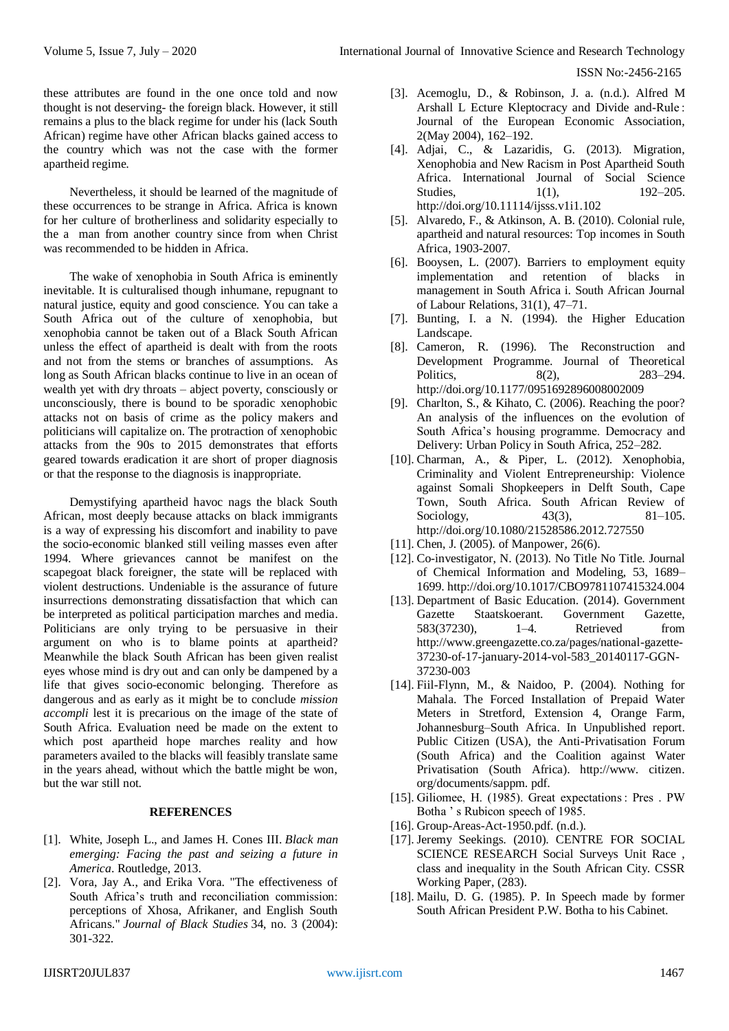these attributes are found in the one once told and now thought is not deserving- the foreign black. However, it still remains a plus to the black regime for under his (lack South African) regime have other African blacks gained access to the country which was not the case with the former apartheid regime.

Nevertheless, it should be learned of the magnitude of these occurrences to be strange in Africa. Africa is known for her culture of brotherliness and solidarity especially to the a man from another country since from when Christ was recommended to be hidden in Africa.

The wake of xenophobia in South Africa is eminently inevitable. It is culturalised though inhumane, repugnant to natural justice, equity and good conscience. You can take a South Africa out of the culture of xenophobia, but xenophobia cannot be taken out of a Black South African unless the effect of apartheid is dealt with from the roots and not from the stems or branches of assumptions. As long as South African blacks continue to live in an ocean of wealth yet with dry throats – abject poverty, consciously or unconsciously, there is bound to be sporadic xenophobic attacks not on basis of crime as the policy makers and politicians will capitalize on. The protraction of xenophobic attacks from the 90s to 2015 demonstrates that efforts geared towards eradication it are short of proper diagnosis or that the response to the diagnosis is inappropriate.

Demystifying apartheid havoc nags the black South African, most deeply because attacks on black immigrants is a way of expressing his discomfort and inability to pave the socio-economic blanked still veiling masses even after 1994. Where grievances cannot be manifest on the scapegoat black foreigner, the state will be replaced with violent destructions. Undeniable is the assurance of future insurrections demonstrating dissatisfaction that which can be interpreted as political participation marches and media. Politicians are only trying to be persuasive in their argument on who is to blame points at apartheid? Meanwhile the black South African has been given realist eyes whose mind is dry out and can only be dampened by a life that gives socio-economic belonging. Therefore as dangerous and as early as it might be to conclude *mission accompli* lest it is precarious on the image of the state of South Africa. Evaluation need be made on the extent to which post apartheid hope marches reality and how parameters availed to the blacks will feasibly translate same in the years ahead, without which the battle might be won, but the war still not.

## **REFERENCES**

- [1]. White, Joseph L., and James H. Cones III. *Black man emerging: Facing the past and seizing a future in America*. Routledge, 2013.
- [2]. Vora, Jay A., and Erika Vora. "The effectiveness of South Africa's truth and reconciliation commission: perceptions of Xhosa, Afrikaner, and English South Africans." *Journal of Black Studies* 34, no. 3 (2004): 301-322.
- [3]. Acemoglu, D., & Robinson, J. a. (n.d.). Alfred M Arshall L Ecture Kleptocracy and Divide and-Rule : Journal of the European Economic Association, 2(May 2004), 162–192.
- [4]. Adjai, C., & Lazaridis, G. (2013). Migration, Xenophobia and New Racism in Post Apartheid South Africa. International Journal of Social Science Studies, 1(1), 192–205. http://doi.org/10.11114/ijsss.v1i1.102
- [5]. Alvaredo, F., & Atkinson, A. B. (2010). Colonial rule, apartheid and natural resources: Top incomes in South Africa, 1903-2007.
- [6]. Booysen, L. (2007). Barriers to employment equity implementation and retention of blacks in management in South Africa i. South African Journal of Labour Relations, 31(1), 47–71.
- [7]. Bunting, I. a N. (1994). the Higher Education Landscape.
- [8]. Cameron, R. (1996). The Reconstruction and Development Programme. Journal of Theoretical Politics, 8(2), 283–294. http://doi.org/10.1177/0951692896008002009
- [9]. Charlton, S., & Kihato, C. (2006). Reaching the poor? An analysis of the influences on the evolution of South Africa's housing programme. Democracy and Delivery: Urban Policy in South Africa, 252–282.
- [10]. Charman, A., & Piper, L. (2012). Xenophobia, Criminality and Violent Entrepreneurship: Violence against Somali Shopkeepers in Delft South, Cape Town, South Africa. South African Review of Sociology, 43(3), 81–105. http://doi.org/10.1080/21528586.2012.727550
- [11]. Chen, J. (2005). of Manpower, 26(6).
- [12]. Co-investigator, N. (2013). No Title No Title. Journal of Chemical Information and Modeling, 53, 1689– 1699. http://doi.org/10.1017/CBO9781107415324.004
- [13]. Department of Basic Education. (2014). Government Gazette Staatskoerant. Government Gazette, 583(37230), 1–4. Retrieved from http://www.greengazette.co.za/pages/national-gazette-37230-of-17-january-2014-vol-583\_20140117-GGN-37230-003
- [14]. Fiil-Flynn, M., & Naidoo, P. (2004). Nothing for Mahala. The Forced Installation of Prepaid Water Meters in Stretford, Extension 4, Orange Farm, Johannesburg–South Africa. In Unpublished report. Public Citizen (USA), the Anti-Privatisation Forum (South Africa) and the Coalition against Water Privatisation (South Africa). http://www. citizen. org/documents/sappm. pdf.
- [15]. Giliomee, H. (1985). Great expectations : Pres . PW Botha ' s Rubicon speech of 1985.
- [16]. Group-Areas-Act-1950.pdf. (n.d.).
- [17]. Jeremy Seekings. (2010). CENTRE FOR SOCIAL SCIENCE RESEARCH Social Surveys Unit Race , class and inequality in the South African City. CSSR Working Paper, (283).
- [18]. Mailu, D. G. (1985). P. In Speech made by former South African President P.W. Botha to his Cabinet.